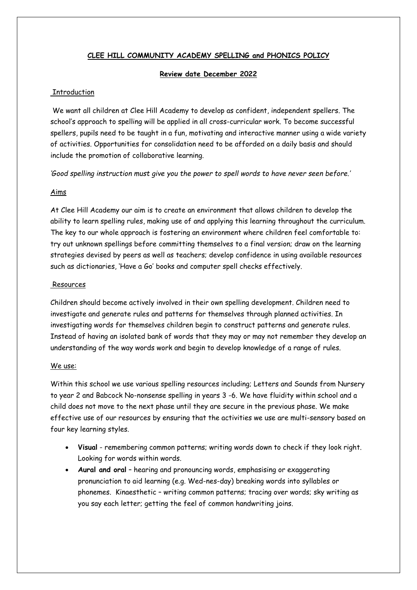### **CLEE HILL COMMUNITY ACADEMY SPELLING and PHONICS POLICY**

#### **Review date December 2022**

#### Introduction

We want all children at Clee Hill Academy to develop as confident, independent spellers. The school's approach to spelling will be applied in all cross-curricular work. To become successful spellers, pupils need to be taught in a fun, motivating and interactive manner using a wide variety of activities. Opportunities for consolidation need to be afforded on a daily basis and should include the promotion of collaborative learning.

*'Good spelling instruction must give you the power to spell words to have never seen before.'*

#### Aims

At Clee Hill Academy our aim is to create an environment that allows children to develop the ability to learn spelling rules, making use of and applying this learning throughout the curriculum. The key to our whole approach is fostering an environment where children feel comfortable to: try out unknown spellings before committing themselves to a final version; draw on the learning strategies devised by peers as well as teachers; develop confidence in using available resources such as dictionaries, 'Have a Go' books and computer spell checks effectively.

#### Resources

Children should become actively involved in their own spelling development. Children need to investigate and generate rules and patterns for themselves through planned activities. In investigating words for themselves children begin to construct patterns and generate rules. Instead of having an isolated bank of words that they may or may not remember they develop an understanding of the way words work and begin to develop knowledge of a range of rules.

#### We use:

Within this school we use various spelling resources including; Letters and Sounds from Nursery to year 2 and Babcock No-nonsense spelling in years 3 -6. We have fluidity within school and a child does not move to the next phase until they are secure in the previous phase. We make effective use of our resources by ensuring that the activities we use are multi-sensory based on four key learning styles.

- **Visual** remembering common patterns; writing words down to check if they look right. Looking for words within words.
- **Aural and oral** hearing and pronouncing words, emphasising or exaggerating pronunciation to aid learning (e.g. Wed-nes-day) breaking words into syllables or phonemes. Kinaesthetic – writing common patterns; tracing over words; sky writing as you say each letter; getting the feel of common handwriting joins.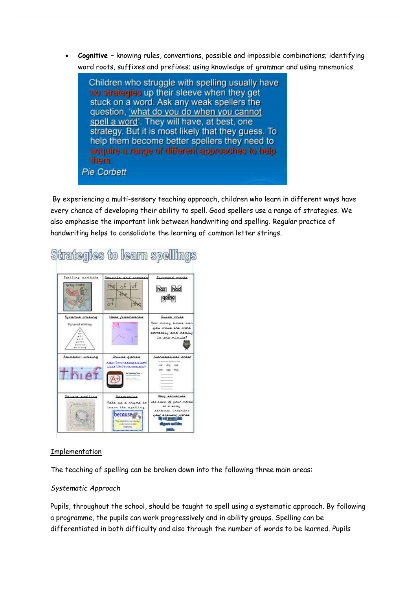• **Cognitive** – knowing rules, conventions, possible and impossible combinations; identifying word roots, suffixes and prefixes; using knowledge of grammar and using mnemonics

Children who struggle with spelling usually have no strategies up their sleeve when they get stuck on a word. Ask any weak spellers the question, 'what do you do when you cannot spell a word'. They will have, at best, one strategy. But it is most likely that they guess. To help them become better spellers they need to acquire a range of different approaches to help them. **Pie Corbett** 

By experiencing a multi-sensory teaching approach, children who learn in different ways have every chance of developing their ability to spell. Good spellers use a range of strategies. We also emphasise the important link between handwriting and spelling. Regular practice of handwriting helps to consolidate the learning of common letter strings.



# Strategies to learn spellings

# Implementation

The teaching of spelling can be broken down into the following three main areas:

#### *Systematic Approach*

Pupils, throughout the school, should be taught to spell using a systematic approach. By following a programme, the pupils can work progressively and in ability groups. Spelling can be differentiated in both difficulty and also through the number of words to be learned. Pupils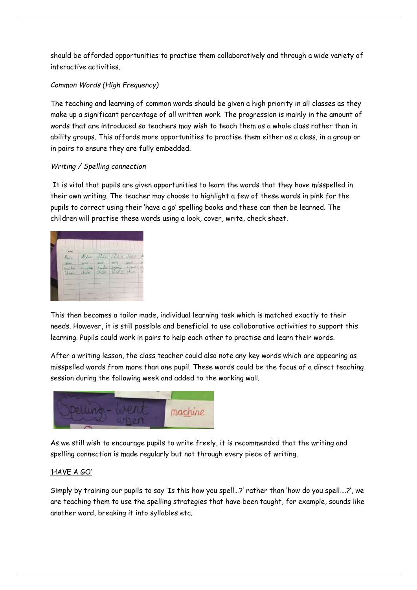should be afforded opportunities to practise them collaboratively and through a wide variety of interactive activities.

# *Common Words (High Frequency)*

The teaching and learning of common words should be given a high priority in all classes as they make up a significant percentage of all written work. The progression is mainly in the amount of words that are introduced so teachers may wish to teach them as a whole class rather than in ability groups. This affords more opportunities to practise them either as a class, in a group or in pairs to ensure they are fully embedded.

# *Writing / Spelling connection*

It is vital that pupils are given opportunities to learn the words that they have misspelled in their own writing. The teacher may choose to highlight a few of these words in pink for the pupils to correct using their 'have a go' spelling books and these can then be learned. The children will practise these words using a look, cover, write, check sheet.

|  | n sii<br>m |  | $d\vec{M}$<br>Special<br><b>Share</b> |  |  |  |
|--|------------|--|---------------------------------------|--|--|--|
|--|------------|--|---------------------------------------|--|--|--|

This then becomes a tailor made, individual learning task which is matched exactly to their needs. However, it is still possible and beneficial to use collaborative activities to support this learning. Pupils could work in pairs to help each other to practise and learn their words.

After a writing lesson, the class teacher could also note any key words which are appearing as misspelled words from more than one pupil. These words could be the focus of a direct teaching session during the following week and added to the working wall.



As we still wish to encourage pupils to write freely, it is recommended that the writing and spelling connection is made regularly but not through every piece of writing.

#### 'HAVE A GO'

Simply by training our pupils to say 'Is this how you spell…?' rather than 'how do you spell….?', we are teaching them to use the spelling strategies that have been taught, for example, sounds like another word, breaking it into syllables etc.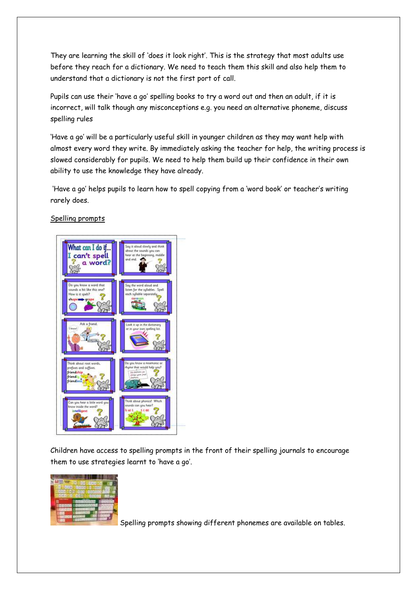They are learning the skill of 'does it look right'. This is the strategy that most adults use before they reach for a dictionary. We need to teach them this skill and also help them to understand that a dictionary is not the first port of call.

Pupils can use their 'have a go' spelling books to try a word out and then an adult, if it is incorrect, will talk though any misconceptions e.g. you need an alternative phoneme, discuss spelling rules

'Have a go' will be a particularly useful skill in younger children as they may want help with almost every word they write. By immediately asking the teacher for help, the writing process is slowed considerably for pupils. We need to help them build up their confidence in their own ability to use the knowledge they have already.

'Have a go' helps pupils to learn how to spell copying from a 'word book' or teacher's writing rarely does.

# Spelling prompts



Children have access to spelling prompts in the front of their spelling journals to encourage them to use strategies learnt to 'have a go'.



Spelling prompts showing different phonemes are available on tables.